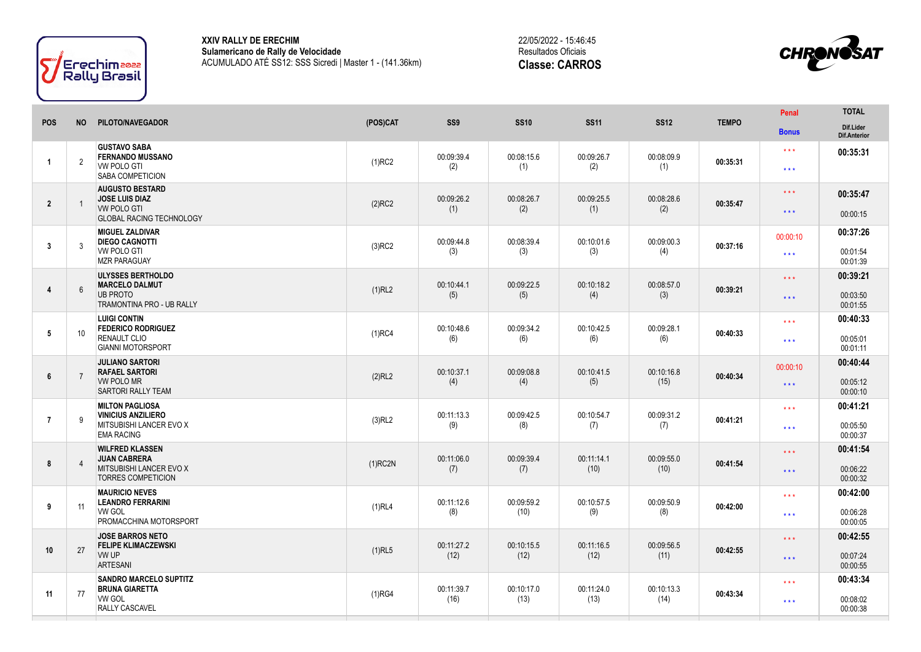

**XXIV RALLY DE ERECHIM Sulamericano de Rally de Velocidade** ACUMULADO ATÉ SS12: SSS Sicredi | Master 1 - (141.36km) 22/05/2022 - 15:46:45 Resultados Oficiais **Classe: CARROS**



| <b>POS</b>     | <b>NO</b>      | PILOTO/NAVEGADOR                                                                                         | (POS)CAT   | SS <sub>9</sub>    | <b>SS10</b>        | <b>SS11</b>        | <b>SS12</b>        | <b>TEMPO</b> | Penal                                              | <b>TOTAL</b>                     |
|----------------|----------------|----------------------------------------------------------------------------------------------------------|------------|--------------------|--------------------|--------------------|--------------------|--------------|----------------------------------------------------|----------------------------------|
|                |                |                                                                                                          |            |                    |                    |                    |                    |              | <b>Bonus</b>                                       | Dif.Lider<br>Dif.Anterior        |
| $\overline{1}$ | $\overline{2}$ | <b>GUSTAVO SABA</b><br><b>FERNANDO MUSSANO</b><br><b>VW POLO GTI</b><br>SABA COMPETICION                 | $(1)$ RC2  | 00:09:39.4<br>(2)  | 00:08:15.6<br>(1)  | 00:09:26.7<br>(2)  | 00:08:09.9<br>(1)  | 00:35:31     | $\star \star \star$<br>$\star\star\star$           | 00:35:31                         |
| $\overline{2}$ | $\overline{1}$ | <b>AUGUSTO BESTARD</b><br><b>JOSE LUIS DIAZ</b><br><b>VW POLO GTI</b><br><b>GLOBAL RACING TECHNOLOGY</b> | $(2)$ RC2  | 00:09:26.2<br>(1)  | 00:08:26.7<br>(2)  | 00:09:25.5<br>(1)  | 00:08:28.6<br>(2)  | 00:35:47     | $\star\star\star$<br>$\star\star\star$             | 00:35:47<br>00:00:15             |
| 3              | 3              | <b>MIGUEL ZALDIVAR</b><br><b>DIEGO CAGNOTTI</b><br><b>VW POLO GTI</b><br><b>MZR PARAGUAY</b>             | $(3)$ RC2  | 00:09:44.8<br>(3)  | 00:08:39.4<br>(3)  | 00:10:01.6<br>(3)  | 00:09:00.3<br>(4)  | 00:37:16     | 00:00:10<br>$\star\star\star$                      | 00:37:26<br>00:01:54<br>00:01:39 |
| $\overline{4}$ | $6\phantom{1}$ | <b>ULYSSES BERTHOLDO</b><br><b>MARCELO DALMUT</b><br><b>UB PROTO</b><br>TRAMONTINA PRO - UB RALLY        | (1)RL2     | 00:10:44.1<br>(5)  | 00:09:22.5<br>(5)  | 00:10:18.2<br>(4)  | 00:08:57.0<br>(3)  | 00:39:21     | $\star\star\star$<br>$\star\star\star$             | 00:39:21<br>00:03:50<br>00:01:55 |
| 5              | 10             | <b>LUIGI CONTIN</b><br><b>FEDERICO RODRIGUEZ</b><br><b>RENAULT CLIO</b><br><b>GIANNI MOTORSPORT</b>      | $(1)$ RC4  | 00:10:48.6<br>(6)  | 00:09:34.2<br>(6)  | 00:10:42.5<br>(6)  | 00:09:28.1<br>(6)  | 00:40:33     | $***$<br>$\star$ $\star$ $\star$                   | 00:40:33<br>00:05:01<br>00:01:11 |
| 6              | $\overline{7}$ | <b>JULIANO SARTORI</b><br><b>RAFAEL SARTORI</b><br><b>VW POLO MR</b><br><b>SARTORI RALLY TEAM</b>        | (2)RL2     | 00:10:37.1<br>(4)  | 00:09:08.8<br>(4)  | 00:10:41.5<br>(5)  | 00:10:16.8<br>(15) | 00:40:34     | 00:00:10<br>$\star\star\star$                      | 00:40:44<br>00:05:12<br>00:00:10 |
| $\overline{7}$ | 9              | <b>MILTON PAGLIOSA</b><br><b>VINICIUS ANZILIERO</b><br>MITSUBISHI LANCER EVO X<br><b>EMA RACING</b>      | (3)RL2     | 00:11:13.3<br>(9)  | 00:09:42.5<br>(8)  | 00:10:54.7<br>(7)  | 00:09:31.2<br>(7)  | 00:41:21     | $\star\star\star$<br>$\star\star\star$             | 00:41:21<br>00:05:50<br>00:00:37 |
| 8              | $\overline{4}$ | <b>WILFRED KLASSEN</b><br><b>JUAN CABRERA</b><br>MITSUBISHI LANCER EVO X<br><b>TORRES COMPETICION</b>    | $(1)$ RC2N | 00:11:06.0<br>(7)  | 00:09:39.4<br>(7)  | 00:11:14.1<br>(10) | 00:09:55.0<br>(10) | 00:41:54     | $\star$ $\star$ $\star$<br>$\star$ $\star$ $\star$ | 00:41:54<br>00:06:22<br>00:00:32 |
| 9              | 11             | <b>MAURICIO NEVES</b><br><b>LEANDRO FERRARINI</b><br><b>VW GOL</b><br>PROMACCHINA MOTORSPORT             | (1)RL4     | 00:11:12.6<br>(8)  | 00:09:59.2<br>(10) | 00:10:57.5<br>(9)  | 00:09:50.9<br>(8)  | 00:42:00     | $\star\star\star$<br>$\star \star \star$           | 00:42:00<br>00:06:28<br>00:00:05 |
| 10             | 27             | <b>JOSE BARROS NETO</b><br><b>FELIPE KLIMACZEWSKI</b><br>VW UP                                           | $(1)$ RL5  | 00:11:27.2<br>(12) | 00:10:15.5<br>(12) | 00:11:16.5<br>(12) | 00:09:56.5<br>(11) | 00:42:55     | $\star\star\star$                                  | 00:42:55<br>00:07:24             |
|                |                | <b>ARTESANI</b>                                                                                          |            |                    |                    |                    |                    |              | $\star\star\star$                                  | 00:00:55                         |
|                |                | <b>SANDRO MARCELO SUPTITZ</b><br><b>BRUNA GIARETTA</b>                                                   |            | 00:11:39.7         | 00:10:17.0         | 00:11:24.0         | 00:10:13.3         |              | $\star \star \star$                                | 00:43:34                         |
| 11             | 77             | <b>VW GOL</b><br>RALLY CASCAVEL                                                                          | (1)RG4     | (16)               | (13)               | (13)               | (14)               | 00:43:34     | $\star\star\star$                                  | 00:08:02<br>00:00:38             |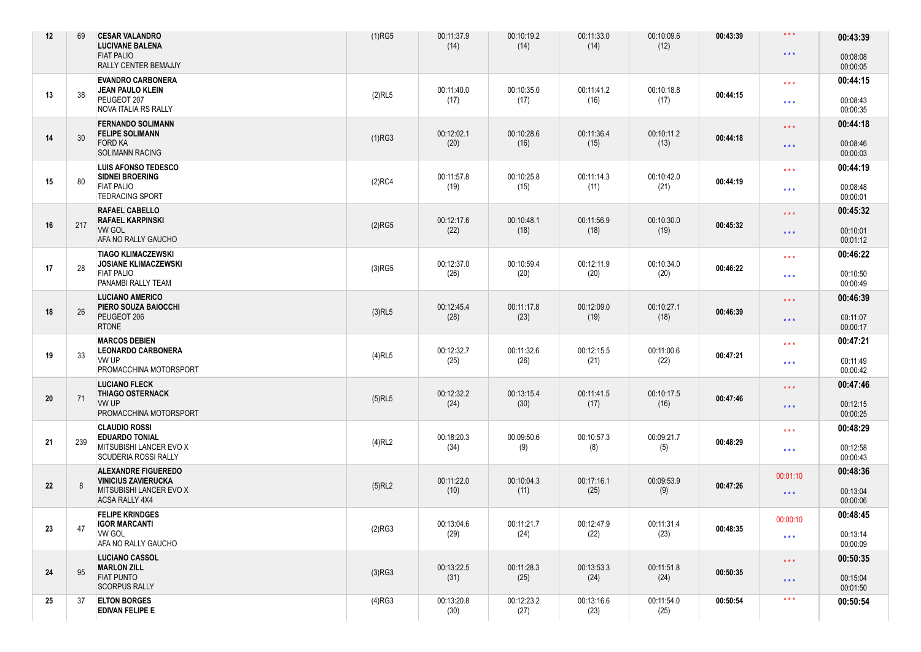| 12 | 69  | <b>CESAR VALANDRO</b><br><b>LUCIVANE BALENA</b><br><b>FIAT PALIO</b><br>RALLY CENTER BEMAJJY                 | $(1)$ RG5 | 00:11:37.9<br>(14) | 00:10:19.2<br>(14) | 00:11:33.0<br>(14) | 00:10:09.6<br>(12) | 00:43:39 | $\star$ $\star$ $\star$<br>$\star$ $\star$ $\star$ | 00:43:39<br>00:08:08<br>00:00:05 |
|----|-----|--------------------------------------------------------------------------------------------------------------|-----------|--------------------|--------------------|--------------------|--------------------|----------|----------------------------------------------------|----------------------------------|
| 13 | 38  | <b>EVANDRO CARBONERA</b><br><b>JEAN PAULO KLEIN</b><br>PEUGEOT 207<br>NOVA ITALIA RS RALLY                   | $(2)$ RL5 | 00:11:40.0<br>(17) | 00:10:35.0<br>(17) | 00:11:41.2<br>(16) | 00:10:18.8<br>(17) | 00:44:15 | $\star$ $\star$ $\star$<br>$\star$ $\star$ $\star$ | 00:44:15<br>00:08:43<br>00:00:35 |
| 14 | 30  | <b>FERNANDO SOLIMANN</b><br><b>FELIPE SOLIMANN</b><br><b>FORD KA</b><br><b>SOLIMANN RACING</b>               | (1)RG3    | 00:12:02.1<br>(20) | 00:10:28.6<br>(16) | 00:11:36.4<br>(15) | 00:10:11.2<br>(13) | 00:44:18 | $\star\star\star$<br>$\star$ $\star$ $\star$       | 00:44:18<br>00:08:46<br>00:00:03 |
| 15 | 80  | <b>LUIS AFONSO TEDESCO</b><br><b>SIDNEI BROERING</b><br><b>FIAT PALIO</b><br><b>TEDRACING SPORT</b>          | $(2)$ RC4 | 00:11:57.8<br>(19) | 00:10:25.8<br>(15) | 00:11:14.3<br>(11) | 00:10:42.0<br>(21) | 00:44:19 | $\star\star\star$<br>$\star \star \star$           | 00:44:19<br>00:08:48<br>00:00:01 |
| 16 | 217 | RAFAEL CABELLO<br><b>RAFAEL KARPINSKI</b><br><b>VW GOL</b><br>AFA NO RALLY GAUCHO                            | (2)RG5    | 00:12:17.6<br>(22) | 00:10:48.1<br>(18) | 00:11:56.9<br>(18) | 00:10:30.0<br>(19) | 00:45:32 | $\star\star\star$<br>$***$                         | 00:45:32<br>00:10:01<br>00:01:12 |
| 17 | 28  | <b>TIAGO KLIMACZEWSKI</b><br><b>JOSIANE KLIMACZEWSKI</b><br><b>FIAT PALIO</b><br>PANAMBI RALLY TEAM          | $(3)$ RG5 | 00:12:37.0<br>(26) | 00:10:59.4<br>(20) | 00:12:11.9<br>(20) | 00:10:34.0<br>(20) | 00:46:22 | $\star\star\star$<br>$\star \star \star$           | 00:46:22<br>00:10:50<br>00:00:49 |
| 18 | 26  | <b>LUCIANO AMERICO</b><br>PIERO SOUZA BAIOCCHI<br>PEUGEOT 206<br><b>RTONE</b>                                | $(3)$ RL5 | 00:12:45.4<br>(28) | 00:11:17.8<br>(23) | 00:12:09.0<br>(19) | 00:10:27.1<br>(18) | 00:46:39 | $\star$ $\star$ $\star$<br>$***$                   | 00:46:39<br>00:11:07<br>00:00:17 |
| 19 | 33  | <b>MARCOS DEBIEN</b><br><b>LEONARDO CARBONERA</b><br>VW UP<br>PROMACCHINA MOTORSPORT                         | $(4)$ RL5 | 00:12:32.7<br>(25) | 00:11:32.6<br>(26) | 00:12:15.5<br>(21) | 00:11:00.6<br>(22) | 00:47:21 | $\star\star\star$<br>$\star$ $\star$ $\star$       | 00:47:21<br>00:11:49<br>00:00:42 |
| 20 | 71  | <b>LUCIANO FLECK</b><br><b>THIAGO OSTERNACK</b><br>VW UP<br>PROMACCHINA MOTORSPORT                           | $(5)$ RL5 | 00:12:32.2<br>(24) | 00:13:15.4<br>(30) | 00:11:41.5<br>(17) | 00:10:17.5<br>(16) | 00:47:46 | $\star$ $\star$ $\star$<br>$\star$ $\star$ $\star$ | 00:47:46<br>00:12:15<br>00:00:25 |
| 21 | 239 | <b>CLAUDIO ROSSI</b><br><b>EDUARDO TONIAL</b><br>MITSUBISHI LANCER EVO X<br><b>SCUDERIA ROSSI RALLY</b>      | $(4)$ RL2 | 00:18:20.3<br>(34) | 00:09:50.6<br>(9)  | 00:10:57.3<br>(8)  | 00:09:21.7<br>(5)  | 00:48:29 | $\star\star\star$<br>$\star$ $\star$ $\star$       | 00:48:29<br>00:12:58<br>00:00:43 |
| 22 | 8   | <b>ALEXANDRE FIGUEREDO</b><br><b>VINICIUS ZAVIERUCKA</b><br>MITSUBISHI LANCER EVO X<br><b>ACSA RALLY 4X4</b> | $(5)$ RL2 | 00:11:22.0<br>(10) | 00:10:04.3<br>(11) | 00:17:16.1<br>(25) | 00:09:53.9<br>(9)  | 00:47:26 | 00:01:10<br>$***$                                  | 00:48:36<br>00:13:04<br>00:00:06 |
| 23 | 47  | <b>FELIPE KRINDGES</b><br><b>IGOR MARCANTI</b><br>VW GOL<br>AFA NO RALLY GAUCHO                              | (2)RG3    | 00:13:04.6<br>(29) | 00:11:21.7<br>(24) | 00:12:47.9<br>(22) | 00:11:31.4<br>(23) | 00:48:35 | 00:00:10<br>$***$                                  | 00:48:45<br>00:13:14<br>00:00:09 |
| 24 | 95  | <b>LUCIANO CASSOL</b><br><b>MARLON ZILL</b><br><b>FIAT PUNTO</b><br><b>SCORPUS RALLY</b>                     | (3)RG3    | 00:13:22.5<br>(31) | 00:11:28.3<br>(25) | 00:13:53.3<br>(24) | 00:11:51.8<br>(24) | 00:50:35 | $\star$ $\star$ $\star$<br>$***$                   | 00:50:35<br>00:15:04<br>00:01:50 |
| 25 | 37  | <b>ELTON BORGES</b><br><b>EDIVAN FELIPE E</b>                                                                | $(4)$ RG3 | 00:13:20.8<br>(30) | 00:12:23.2<br>(27) | 00:13:16.6<br>(23) | 00:11:54.0<br>(25) | 00:50:54 | $\star$ $\star$ $\star$                            | 00:50:54                         |
|    |     |                                                                                                              |           |                    |                    |                    |                    |          |                                                    |                                  |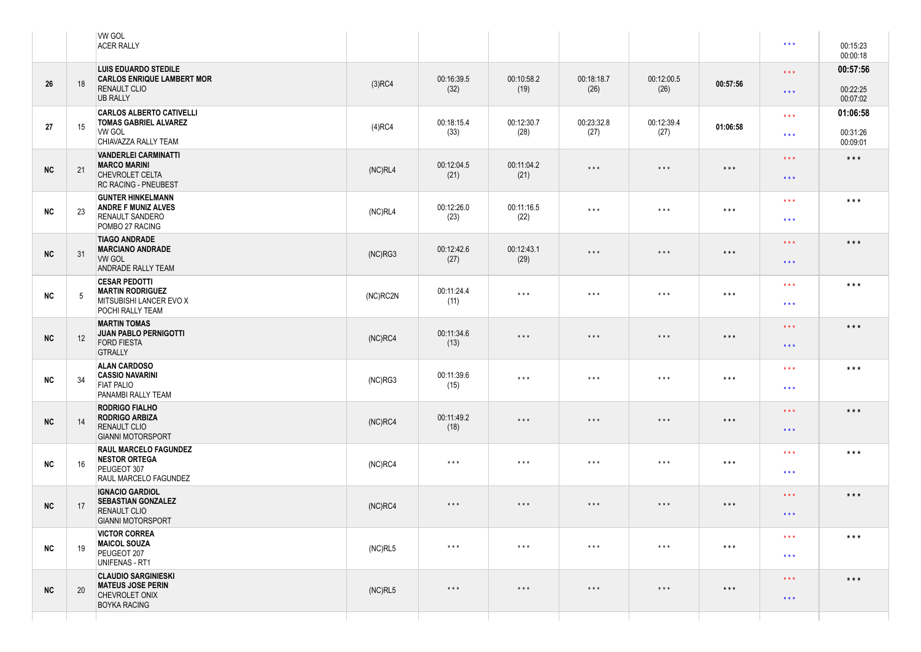|            |    | <b>VW GOL</b><br><b>ACER RALLY</b>                                                                     |            |                         |                         |                         |                         |                   | $\star \star \star$                      | 00:15:23<br>00:00:18             |
|------------|----|--------------------------------------------------------------------------------------------------------|------------|-------------------------|-------------------------|-------------------------|-------------------------|-------------------|------------------------------------------|----------------------------------|
| 26         | 18 | <b>LUIS EDUARDO STEDILE</b><br><b>CARLOS ENRIQUE LAMBERT MOR</b><br><b>RENAULT CLIO</b>                | $(3)$ RC4  | 00:16:39.5<br>(32)      | 00:10:58.2<br>(19)      | 00:18:18.7<br>(26)      | 00:12:00.5<br>(26)      | 00:57:56          | $\star\star\star$<br>$\star\star\star$   | 00:57:56<br>00:22:25             |
| 27         | 15 | <b>UB RALLY</b><br><b>CARLOS ALBERTO CATIVELLI</b><br><b>TOMAS GABRIEL ALVAREZ</b><br>VW GOL           | $(4)$ RC4  | 00:18:15.4<br>(33)      | 00:12:30.7<br>(28)      | 00:23:32.8<br>(27)      | 00:12:39.4<br>(27)      | 01:06:58          | $* * *$                                  | 00:07:02<br>01:06:58<br>00:31:26 |
|            |    | CHIAVAZZA RALLY TEAM<br><b>VANDERLEI CARMINATTI</b>                                                    |            |                         |                         |                         |                         |                   | $\star \star \star$                      | 00:09:01                         |
| NC         | 21 | <b>MARCO MARINI</b><br>CHEVROLET CELTA<br><b>RC RACING - PNEUBEST</b>                                  | (NC)RL4    | 00:12:04.5<br>(21)      | 00:11:04.2<br>(21)      | $\star$ $\star$ $\star$ | $\star$ $\star$ $\star$ | $***$             | $\star\star\star$<br>$* * *$             | $\star\star\star$                |
| <b>NC</b>  | 23 | <b>GUNTER HINKELMANN</b><br><b>ANDRE F MUNIZ ALVES</b><br><b>RENAULT SANDERO</b><br>POMBO 27 RACING    | (NC)RL4    | 00:12:26.0<br>(23)      | 00:11:16.5<br>(22)      | $\star$ $\star$ $\star$ | $\star$ $\star$ $\star$ | $\star\star\star$ | $* * *$<br>$\star \star \star$           | $***$                            |
| NC         | 31 | <b>TIAGO ANDRADE</b><br><b>MARCIANO ANDRADE</b><br><b>VW GOL</b><br>ANDRADE RALLY TEAM                 | (NC)RG3    | 00:12:42.6<br>(27)      | 00:12:43.1<br>(29)      | $\star$ $\star$ $\star$ | $\star$ $\star$ $\star$ | $***$             | $\star\star\star$<br>$\star\star\star$   | $***$                            |
| <b>NC</b>  | 5  | <b>CESAR PEDOTTI</b><br><b>MARTIN RODRIGUEZ</b><br>MITSUBISHI LANCER EVO X<br>POCHI RALLY TEAM         | (NC)RC2N   | 00:11:24.4<br>(11)      | $\star$ $\star$ $\star$ | $\star$ $\star$ $\star$ | $\star$ $\star$ $\star$ | $***$             | $\star\star\star$<br>$\star \star \star$ | $\star$ $\star$ $\star$          |
| NC         | 12 | <b>MARTIN TOMAS</b><br><b>JUAN PABLO PERNIGOTTI</b><br><b>FORD FIESTA</b><br><b>GTRALLY</b>            | $(NC)$ RC4 | 00:11:34.6<br>(13)      | $\star$ $\star$ $\star$ | $\star$ $\star$ $\star$ | $\star$ $\star$ $\star$ | $***$             | $\star\star\star$<br>$* * *$             | $***$                            |
| <b>NC</b>  | 34 | <b>ALAN CARDOSO</b><br><b>CASSIO NAVARINI</b><br><b>FIAT PALIO</b><br>PANAMBI RALLY TEAM               | (NC)RG3    | 00:11:39.6<br>(15)      | $\star$ $\star$ $\star$ | $\star$ $\star$ $\star$ | $\star$ $\star$ $\star$ | $***$             | $\star\star\star$<br>$* * *$             | $***$                            |
| <b>NC</b>  | 14 | <b>RODRIGO FIALHO</b><br><b>RODRIGO ARBIZA</b><br><b>RENAULT CLIO</b><br><b>GIANNI MOTORSPORT</b>      | $(NC)$ RC4 | 00:11:49.2<br>(18)      | $\star$ $\star$ $\star$ | $\star$ $\star$ $\star$ | $\star$ $\star$ $\star$ | $***$             | $* * *$<br>$* * *$                       | $\star$ $\star$ $\star$          |
| <b>NC</b>  | 16 | <b>RAUL MARCELO FAGUNDEZ</b><br><b>NESTOR ORTEGA</b><br>PEUGEOT 307<br>RAUL MARCELO FAGUNDEZ           | $(NC)$ RC4 | $***$                   | $\star$ $\star$ $\star$ | $***$                   | $\star$ $\star$ $\star$ | $***$             | $* * *$<br>$* * *$                       | $***$                            |
| NC         | 17 | <b>IGNACIO GARDIOL</b><br><b>SEBASTIAN GONZALEZ</b><br><b>RENAULT CLIO</b><br><b>GIANNI MOTORSPORT</b> | $(NC)$ RC4 | $***$                   | $\star$ $\star$ $\star$ | $\star$ $\star$ $\star$ | $\star$ $\star$ $\star$ | $***$             | $\star\star\star$<br>$\star\star\star$   | $***$                            |
| <b>NC</b>  | 19 | <b>VICTOR CORREA</b><br><b>MAICOL SOUZA</b><br>PEUGEOT 207<br>UNIFENAS - RT1                           | (NC)RL5    | $\star$ $\star$ $\star$ | $\star$ $\star$ $\star$ | $\star$ $\star$ $\star$ | $\star$ $\star$ $\star$ | $***$             | $\star\star\star$<br>$\star\star\star$   | $***$                            |
| ${\sf NC}$ | 20 | <b>CLAUDIO SARGINIESKI</b><br><b>MATEUS JOSE PERIN</b><br>CHEVROLET ONIX<br><b>BOYKA RACING</b>        | (NC)RL5    | $***$                   | $\star$ $\star$ $\star$ | $\star$ $\star$ $\star$ | $\star$ $\star$ $\star$ | $***$             | $* * *$<br>$* * *$                       | $***$                            |